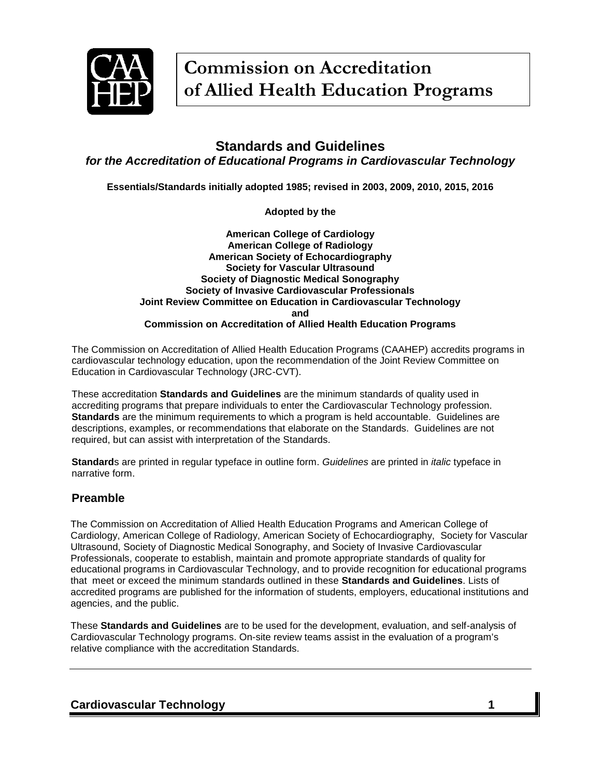

# **Standards and Guidelines** *for the Accreditation of Educational Programs in Cardiovascular Technology*

**Essentials/Standards initially adopted 1985; revised in 2003, 2009, 2010, 2015, 2016**

**Adopted by the**

#### **American College of Cardiology American College of Radiology American Society of Echocardiography Society for Vascular Ultrasound Society of Diagnostic Medical Sonography Society of Invasive Cardiovascular Professionals Joint Review Committee on Education in Cardiovascular Technology and Commission on Accreditation of Allied Health Education Programs**

The Commission on Accreditation of Allied Health Education Programs (CAAHEP) accredits programs in cardiovascular technology education, upon the recommendation of the Joint Review Committee on Education in Cardiovascular Technology (JRC-CVT).

These accreditation **Standards and Guidelines** are the minimum standards of quality used in accrediting programs that prepare individuals to enter the Cardiovascular Technology profession. **Standards** are the minimum requirements to which a program is held accountable. Guidelines are descriptions, examples, or recommendations that elaborate on the Standards. Guidelines are not required, but can assist with interpretation of the Standards.

**Standard**s are printed in regular typeface in outline form. *Guidelines* are printed in *italic* typeface in narrative form.

## **Preamble**

The Commission on Accreditation of Allied Health Education Programs and American College of Cardiology, American College of Radiology, American Society of Echocardiography, Society for Vascular Ultrasound, Society of Diagnostic Medical Sonography, and Society of Invasive Cardiovascular Professionals, cooperate to establish, maintain and promote appropriate standards of quality for educational programs in Cardiovascular Technology, and to provide recognition for educational programs that meet or exceed the minimum standards outlined in these **Standards and Guidelines**. Lists of accredited programs are published for the information of students, employers, educational institutions and agencies, and the public.

These **Standards and Guidelines** are to be used for the development, evaluation, and self-analysis of Cardiovascular Technology programs. On-site review teams assist in the evaluation of a program's relative compliance with the accreditation Standards.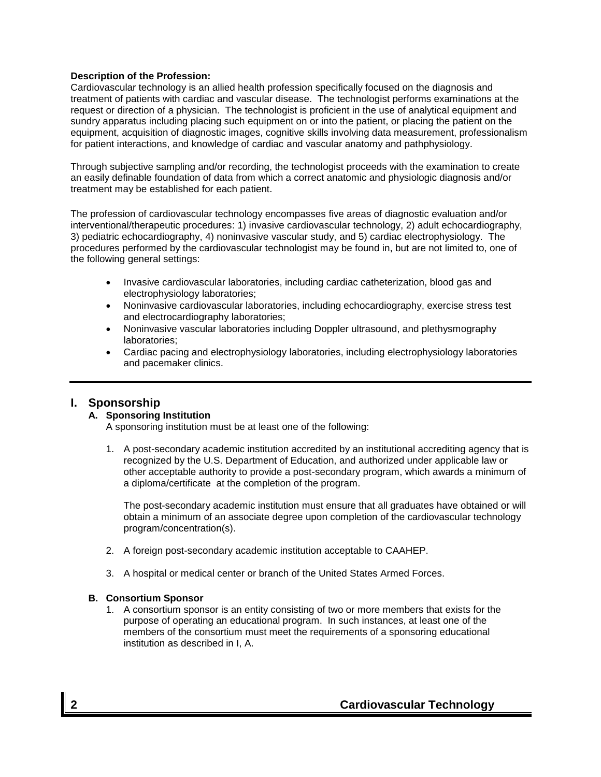### **Description of the Profession:**

Cardiovascular technology is an allied health profession specifically focused on the diagnosis and treatment of patients with cardiac and vascular disease. The technologist performs examinations at the request or direction of a physician. The technologist is proficient in the use of analytical equipment and sundry apparatus including placing such equipment on or into the patient, or placing the patient on the equipment, acquisition of diagnostic images, cognitive skills involving data measurement, professionalism for patient interactions, and knowledge of cardiac and vascular anatomy and pathphysiology.

Through subjective sampling and/or recording, the technologist proceeds with the examination to create an easily definable foundation of data from which a correct anatomic and physiologic diagnosis and/or treatment may be established for each patient.

The profession of cardiovascular technology encompasses five areas of diagnostic evaluation and/or interventional/therapeutic procedures: 1) invasive cardiovascular technology, 2) adult echocardiography, 3) pediatric echocardiography, 4) noninvasive vascular study, and 5) cardiac electrophysiology. The procedures performed by the cardiovascular technologist may be found in, but are not limited to, one of the following general settings:

- Invasive cardiovascular laboratories, including cardiac catheterization, blood gas and electrophysiology laboratories;
- Noninvasive cardiovascular laboratories, including echocardiography, exercise stress test and electrocardiography laboratories;
- Noninvasive vascular laboratories including Doppler ultrasound, and plethysmography laboratories;
- Cardiac pacing and electrophysiology laboratories, including electrophysiology laboratories and pacemaker clinics.

## **I. Sponsorship**

### **A. Sponsoring Institution**

A sponsoring institution must be at least one of the following:

1. A post-secondary academic institution accredited by an institutional accrediting agency that is recognized by the U.S. Department of Education, and authorized under applicable law or other acceptable authority to provide a post-secondary program, which awards a minimum of a diploma/certificate at the completion of the program.

The post-secondary academic institution must ensure that all graduates have obtained or will obtain a minimum of an associate degree upon completion of the cardiovascular technology program/concentration(s).

- 2. A foreign post-secondary academic institution acceptable to CAAHEP.
- 3. A hospital or medical center or branch of the United States Armed Forces.

### **B. Consortium Sponsor**

1. A consortium sponsor is an entity consisting of two or more members that exists for the purpose of operating an educational program. In such instances, at least one of the members of the consortium must meet the requirements of a sponsoring educational institution as described in I, A.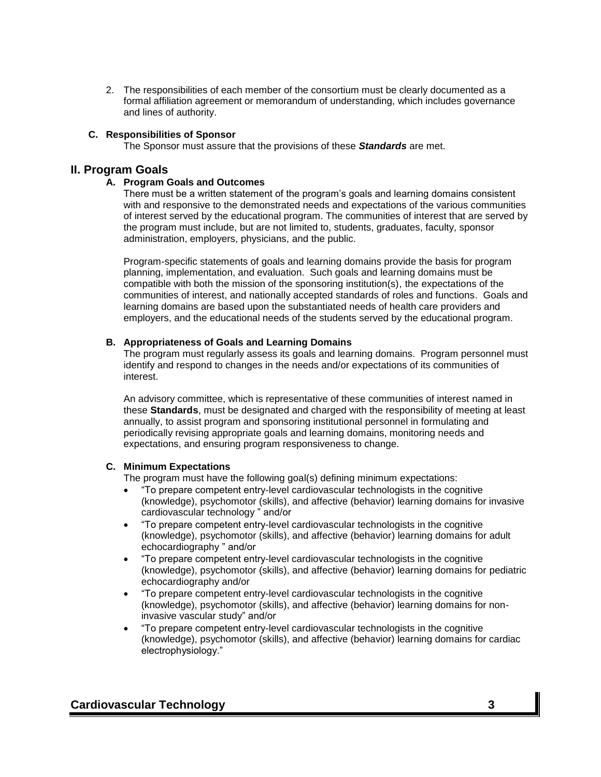2. The responsibilities of each member of the consortium must be clearly documented as a formal affiliation agreement or memorandum of understanding, which includes governance and lines of authority.

### **C. Responsibilities of Sponsor**

The Sponsor must assure that the provisions of these *Standards* are met.

### **II. Program Goals**

### **A. Program Goals and Outcomes**

There must be a written statement of the program's goals and learning domains consistent with and responsive to the demonstrated needs and expectations of the various communities of interest served by the educational program. The communities of interest that are served by the program must include, but are not limited to, students, graduates, faculty, sponsor administration, employers, physicians, and the public.

Program-specific statements of goals and learning domains provide the basis for program planning, implementation, and evaluation. Such goals and learning domains must be compatible with both the mission of the sponsoring institution(s), the expectations of the communities of interest, and nationally accepted standards of roles and functions. Goals and learning domains are based upon the substantiated needs of health care providers and employers, and the educational needs of the students served by the educational program.

#### **B. Appropriateness of Goals and Learning Domains**

The program must regularly assess its goals and learning domains. Program personnel must identify and respond to changes in the needs and/or expectations of its communities of interest.

An advisory committee, which is representative of these communities of interest named in these **Standards**, must be designated and charged with the responsibility of meeting at least annually, to assist program and sponsoring institutional personnel in formulating and periodically revising appropriate goals and learning domains, monitoring needs and expectations, and ensuring program responsiveness to change.

### **C. Minimum Expectations**

The program must have the following goal(s) defining minimum expectations:

- "To prepare competent entry-level cardiovascular technologists in the cognitive (knowledge), psychomotor (skills), and affective (behavior) learning domains for invasive cardiovascular technology " and/or
- "To prepare competent entry-level cardiovascular technologists in the cognitive (knowledge), psychomotor (skills), and affective (behavior) learning domains for adult echocardiography " and/or
- "To prepare competent entry-level cardiovascular technologists in the cognitive (knowledge), psychomotor (skills), and affective (behavior) learning domains for pediatric echocardiography and/or
- "To prepare competent entry-level cardiovascular technologists in the cognitive (knowledge), psychomotor (skills), and affective (behavior) learning domains for noninvasive vascular study" and/or
- "To prepare competent entry-level cardiovascular technologists in the cognitive (knowledge), psychomotor (skills), and affective (behavior) learning domains for cardiac electrophysiology."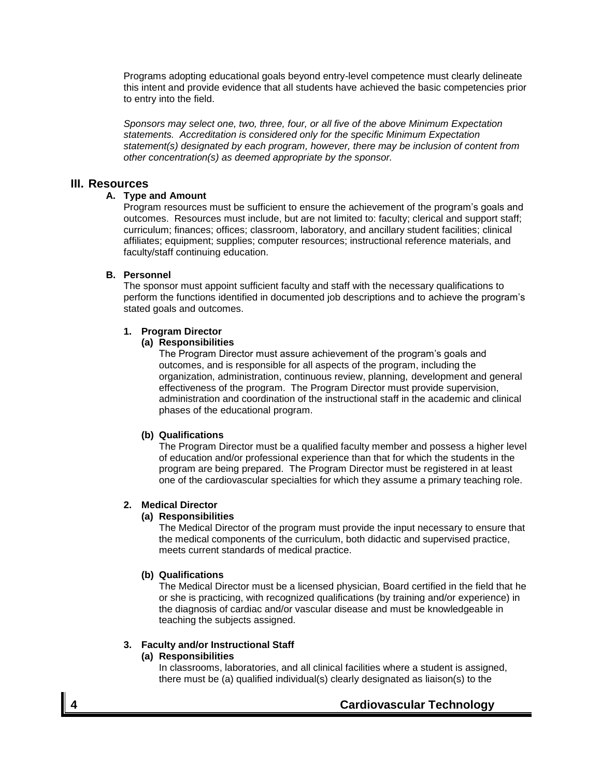Programs adopting educational goals beyond entry-level competence must clearly delineate this intent and provide evidence that all students have achieved the basic competencies prior to entry into the field.

*Sponsors may select one, two, three, four, or all five of the above Minimum Expectation statements. Accreditation is considered only for the specific Minimum Expectation statement(s) designated by each program, however, there may be inclusion of content from other concentration(s) as deemed appropriate by the sponsor.* 

### **III. Resources**

### **A. Type and Amount**

Program resources must be sufficient to ensure the achievement of the program's goals and outcomes. Resources must include, but are not limited to: faculty; clerical and support staff; curriculum; finances; offices; classroom, laboratory, and ancillary student facilities; clinical affiliates; equipment; supplies; computer resources; instructional reference materials, and faculty/staff continuing education.

### **B. Personnel**

The sponsor must appoint sufficient faculty and staff with the necessary qualifications to perform the functions identified in documented job descriptions and to achieve the program's stated goals and outcomes.

### **1. Program Director**

### **(a) Responsibilities**

The Program Director must assure achievement of the program's goals and outcomes, and is responsible for all aspects of the program, including the organization, administration, continuous review, planning, development and general effectiveness of the program. The Program Director must provide supervision, administration and coordination of the instructional staff in the academic and clinical phases of the educational program.

### **(b) Qualifications**

The Program Director must be a qualified faculty member and possess a higher level of education and/or professional experience than that for which the students in the program are being prepared. The Program Director must be registered in at least one of the cardiovascular specialties for which they assume a primary teaching role.

### **2. Medical Director**

#### **(a) Responsibilities**

The Medical Director of the program must provide the input necessary to ensure that the medical components of the curriculum, both didactic and supervised practice, meets current standards of medical practice.

#### **(b) Qualifications**

The Medical Director must be a licensed physician, Board certified in the field that he or she is practicing, with recognized qualifications (by training and/or experience) in the diagnosis of cardiac and/or vascular disease and must be knowledgeable in teaching the subjects assigned.

### **3. Faculty and/or Instructional Staff**

#### **(a) Responsibilities**

In classrooms, laboratories, and all clinical facilities where a student is assigned, there must be (a) qualified individual(s) clearly designated as liaison(s) to the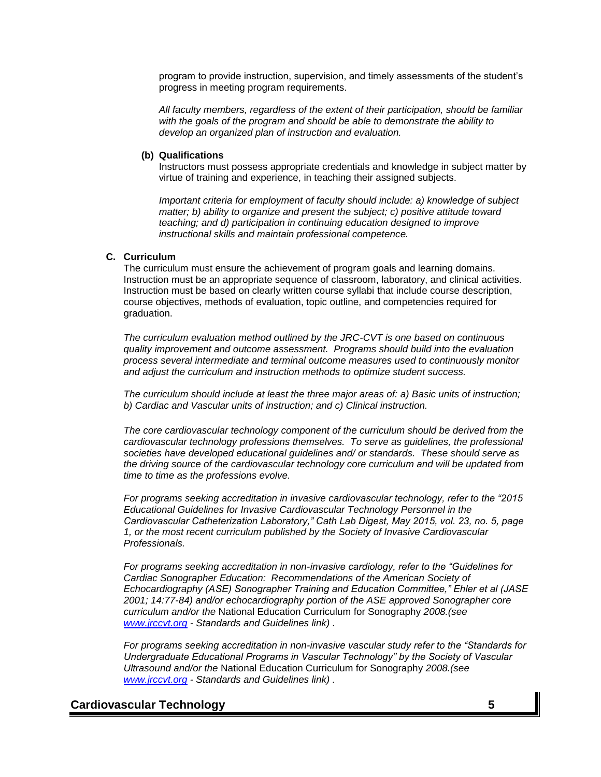program to provide instruction, supervision, and timely assessments of the student's progress in meeting program requirements.

*All faculty members, regardless of the extent of their participation, should be familiar with the goals of the program and should be able to demonstrate the ability to develop an organized plan of instruction and evaluation.*

#### **(b) Qualifications**

Instructors must possess appropriate credentials and knowledge in subject matter by virtue of training and experience, in teaching their assigned subjects.

*Important criteria for employment of faculty should include: a) knowledge of subject matter; b) ability to organize and present the subject; c) positive attitude toward teaching; and d) participation in continuing education designed to improve instructional skills and maintain professional competence.*

#### **C. Curriculum**

The curriculum must ensure the achievement of program goals and learning domains. Instruction must be an appropriate sequence of classroom, laboratory, and clinical activities. Instruction must be based on clearly written course syllabi that include course description, course objectives, methods of evaluation, topic outline, and competencies required for graduation.

*The curriculum evaluation method outlined by the JRC-CVT is one based on continuous quality improvement and outcome assessment. Programs should build into the evaluation process several intermediate and terminal outcome measures used to continuously monitor and adjust the curriculum and instruction methods to optimize student success.*

*The curriculum should include at least the three major areas of: a) Basic units of instruction; b) Cardiac and Vascular units of instruction; and c) Clinical instruction.*

*The core cardiovascular technology component of the curriculum should be derived from the cardiovascular technology professions themselves. To serve as guidelines, the professional societies have developed educational guidelines and/ or standards. These should serve as the driving source of the cardiovascular technology core curriculum and will be updated from time to time as the professions evolve.* 

*For programs seeking accreditation in invasive cardiovascular technology, refer to the "2015 Educational Guidelines for Invasive Cardiovascular Technology Personnel in the Cardiovascular Catheterization Laboratory," Cath Lab Digest, May 2015, vol. 23, no. 5, page 1, or the most recent curriculum published by the Society of Invasive Cardiovascular Professionals.* 

*For programs seeking accreditation in non-invasive cardiology, refer to the "Guidelines for Cardiac Sonographer Education: Recommendations of the American Society of Echocardiography (ASE) Sonographer Training and Education Committee," Ehler et al (JASE 2001; 14:77-84) and/or echocardiography portion of the ASE approved Sonographer core curriculum and/or the* National Education Curriculum for Sonography *2008.(see [www.jrccvt.org](http://www.jrccvt.org/) - Standards and Guidelines link) .*

*For programs seeking accreditation in non-invasive vascular study refer to the "Standards for Undergraduate Educational Programs in Vascular Technology" by the Society of Vascular Ultrasound and/or the* National Education Curriculum for Sonography *2008.(see [www.jrccvt.org](http://www.jrccvt.org/) - Standards and Guidelines link) .*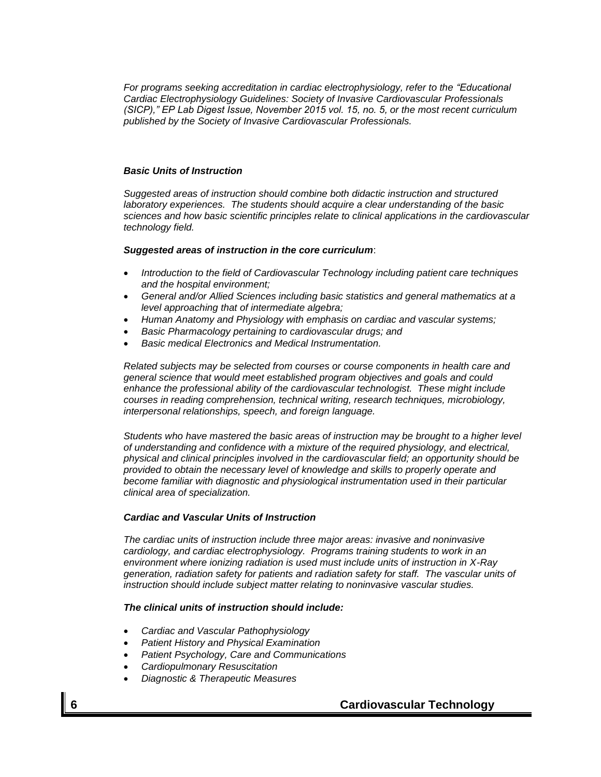*For programs seeking accreditation in cardiac electrophysiology, refer to the "Educational Cardiac Electrophysiology Guidelines: Society of Invasive Cardiovascular Professionals (SICP)," EP Lab Digest Issue, November 2015 vol. 15, no. 5, or the most recent curriculum published by the Society of Invasive Cardiovascular Professionals.* 

#### *Basic Units of Instruction*

*Suggested areas of instruction should combine both didactic instruction and structured laboratory experiences. The students should acquire a clear understanding of the basic sciences and how basic scientific principles relate to clinical applications in the cardiovascular technology field.*

#### *Suggested areas of instruction in the core curriculum*:

- *Introduction to the field of Cardiovascular Technology including patient care techniques and the hospital environment;*
- *General and/or Allied Sciences including basic statistics and general mathematics at a level approaching that of intermediate algebra;*
- *Human Anatomy and Physiology with emphasis on cardiac and vascular systems;*
- *Basic Pharmacology pertaining to cardiovascular drugs; and*
- *Basic medical Electronics and Medical Instrumentation.*

*Related subjects may be selected from courses or course components in health care and general science that would meet established program objectives and goals and could enhance the professional ability of the cardiovascular technologist. These might include courses in reading comprehension, technical writing, research techniques, microbiology, interpersonal relationships, speech, and foreign language.*

*Students who have mastered the basic areas of instruction may be brought to a higher level of understanding and confidence with a mixture of the required physiology, and electrical, physical and clinical principles involved in the cardiovascular field; an opportunity should be provided to obtain the necessary level of knowledge and skills to properly operate and become familiar with diagnostic and physiological instrumentation used in their particular clinical area of specialization.*

#### *Cardiac and Vascular Units of Instruction*

*The cardiac units of instruction include three major areas: invasive and noninvasive cardiology, and cardiac electrophysiology. Programs training students to work in an environment where ionizing radiation is used must include units of instruction in X-Ray generation, radiation safety for patients and radiation safety for staff. The vascular units of instruction should include subject matter relating to noninvasive vascular studies.*

#### *The clinical units of instruction should include:*

- *Cardiac and Vascular Pathophysiology*
- *Patient History and Physical Examination*
- *Patient Psychology, Care and Communications*
- *Cardiopulmonary Resuscitation*
- *Diagnostic & Therapeutic Measures*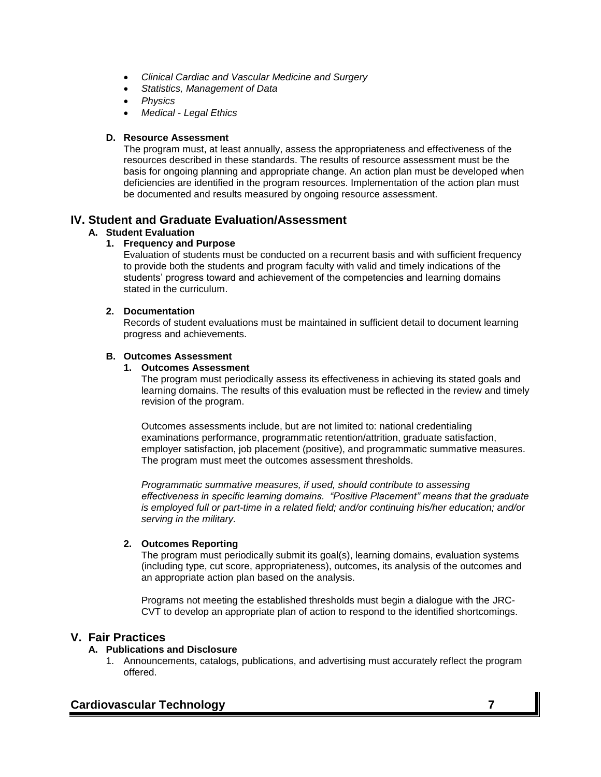- *Clinical Cardiac and Vascular Medicine and Surgery*
- *Statistics, Management of Data*
- *Physics*
- *Medical - Legal Ethics*

### **D. Resource Assessment**

The program must, at least annually, assess the appropriateness and effectiveness of the resources described in these standards. The results of resource assessment must be the basis for ongoing planning and appropriate change. An action plan must be developed when deficiencies are identified in the program resources. Implementation of the action plan must be documented and results measured by ongoing resource assessment.

## **IV. Student and Graduate Evaluation/Assessment**

### **A. Student Evaluation**

### **1. Frequency and Purpose**

Evaluation of students must be conducted on a recurrent basis and with sufficient frequency to provide both the students and program faculty with valid and timely indications of the students' progress toward and achievement of the competencies and learning domains stated in the curriculum.

#### **2. Documentation**

Records of student evaluations must be maintained in sufficient detail to document learning progress and achievements.

### **B. Outcomes Assessment**

#### **1. Outcomes Assessment**

The program must periodically assess its effectiveness in achieving its stated goals and learning domains. The results of this evaluation must be reflected in the review and timely revision of the program.

Outcomes assessments include, but are not limited to: national credentialing examinations performance, programmatic retention/attrition, graduate satisfaction, employer satisfaction, job placement (positive), and programmatic summative measures. The program must meet the outcomes assessment thresholds.

*Programmatic summative measures, if used, should contribute to assessing effectiveness in specific learning domains. "Positive Placement" means that the graduate is employed full or part-time in a related field; and/or continuing his/her education; and/or serving in the military.*

### **2. Outcomes Reporting**

The program must periodically submit its goal(s), learning domains, evaluation systems (including type, cut score, appropriateness), outcomes, its analysis of the outcomes and an appropriate action plan based on the analysis.

Programs not meeting the established thresholds must begin a dialogue with the JRC-CVT to develop an appropriate plan of action to respond to the identified shortcomings.

## **V. Fair Practices**

### **A. Publications and Disclosure**

1. Announcements, catalogs, publications, and advertising must accurately reflect the program offered.

## **Cardiovascular Technology 7**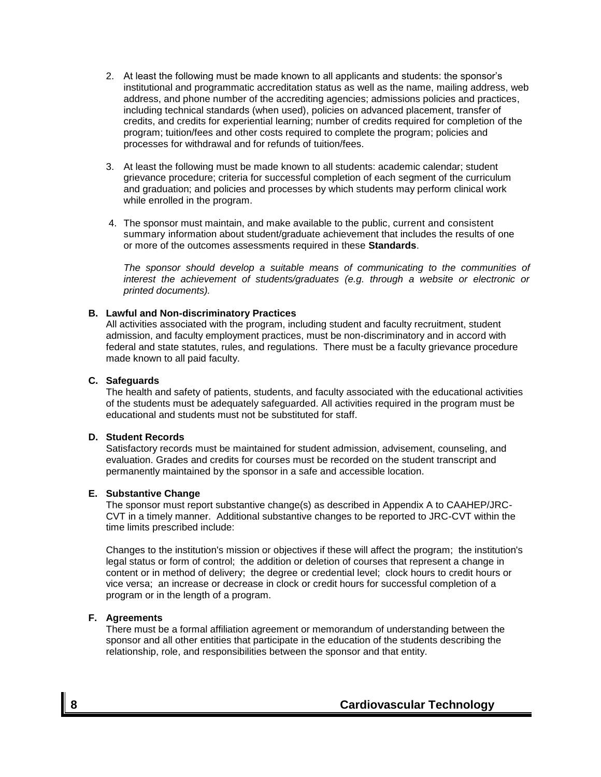- 2. At least the following must be made known to all applicants and students: the sponsor's institutional and programmatic accreditation status as well as the name, mailing address, web address, and phone number of the accrediting agencies; admissions policies and practices, including technical standards (when used), policies on advanced placement, transfer of credits, and credits for experiential learning; number of credits required for completion of the program; tuition/fees and other costs required to complete the program; policies and processes for withdrawal and for refunds of tuition/fees.
- 3. At least the following must be made known to all students: academic calendar; student grievance procedure; criteria for successful completion of each segment of the curriculum and graduation; and policies and processes by which students may perform clinical work while enrolled in the program.
- 4. The sponsor must maintain, and make available to the public, current and consistent summary information about student/graduate achievement that includes the results of one or more of the outcomes assessments required in these **Standards**.

*The sponsor should develop a suitable means of communicating to the communities of interest the achievement of students/graduates (e.g. through a website or electronic or printed documents).*

#### **B. Lawful and Non-discriminatory Practices**

All activities associated with the program, including student and faculty recruitment, student admission, and faculty employment practices, must be non-discriminatory and in accord with federal and state statutes, rules, and regulations. There must be a faculty grievance procedure made known to all paid faculty.

#### **C. Safeguards**

The health and safety of patients, students, and faculty associated with the educational activities of the students must be adequately safeguarded. All activities required in the program must be educational and students must not be substituted for staff.

#### **D. Student Records**

Satisfactory records must be maintained for student admission, advisement, counseling, and evaluation. Grades and credits for courses must be recorded on the student transcript and permanently maintained by the sponsor in a safe and accessible location.

#### **E. Substantive Change**

The sponsor must report substantive change(s) as described in Appendix A to CAAHEP/JRC-CVT in a timely manner. Additional substantive changes to be reported to JRC-CVT within the time limits prescribed include:

Changes to the institution's mission or objectives if these will affect the program; the institution's legal status or form of control; the addition or deletion of courses that represent a change in content or in method of delivery; the degree or credential level; clock hours to credit hours or vice versa; an increase or decrease in clock or credit hours for successful completion of a program or in the length of a program.

#### **F. Agreements**

There must be a formal affiliation agreement or memorandum of understanding between the sponsor and all other entities that participate in the education of the students describing the relationship, role, and responsibilities between the sponsor and that entity.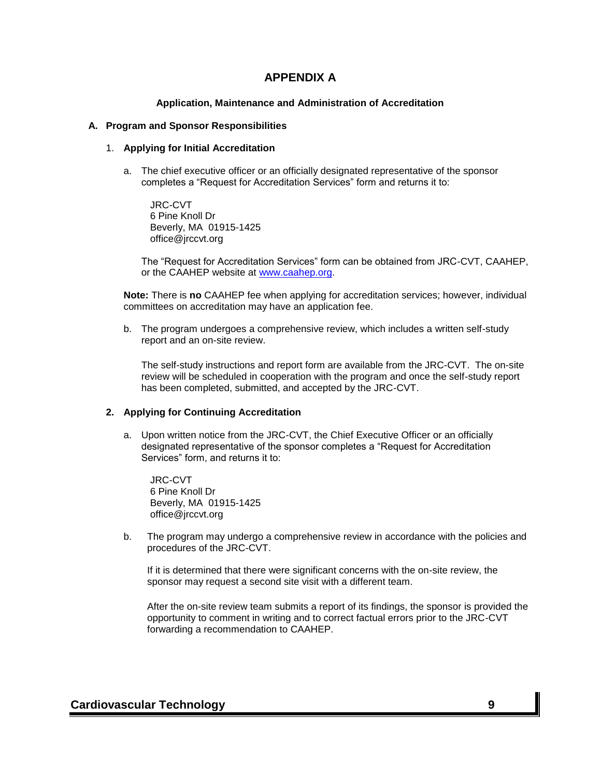## **APPENDIX A**

#### **Application, Maintenance and Administration of Accreditation**

#### **A. Program and Sponsor Responsibilities**

#### 1. **Applying for Initial Accreditation**

a. The chief executive officer or an officially designated representative of the sponsor completes a "Request for Accreditation Services" form and returns it to:

JRC-CVT 6 Pine Knoll Dr Beverly, MA 01915-1425 office@jrccvt.org

The "Request for Accreditation Services" form can be obtained from JRC-CVT, CAAHEP, or the CAAHEP website at www.caahep.org.

**Note:** There is **no** CAAHEP fee when applying for accreditation services; however, individual committees on accreditation may have an application fee.

b. The program undergoes a comprehensive review, which includes a written self-study report and an on-site review.

The self-study instructions and report form are available from the JRC-CVT. The on-site review will be scheduled in cooperation with the program and once the self-study report has been completed, submitted, and accepted by the JRC-CVT.

#### **2. Applying for Continuing Accreditation**

a. Upon written notice from the JRC-CVT, the Chief Executive Officer or an officially designated representative of the sponsor completes a "Request for Accreditation Services" form, and returns it to:

JRC-CVT 6 Pine Knoll Dr Beverly, MA 01915-1425 office@jrccvt.org

b. The program may undergo a comprehensive review in accordance with the policies and procedures of the JRC-CVT.

If it is determined that there were significant concerns with the on-site review, the sponsor may request a second site visit with a different team.

After the on-site review team submits a report of its findings, the sponsor is provided the opportunity to comment in writing and to correct factual errors prior to the JRC-CVT forwarding a recommendation to CAAHEP.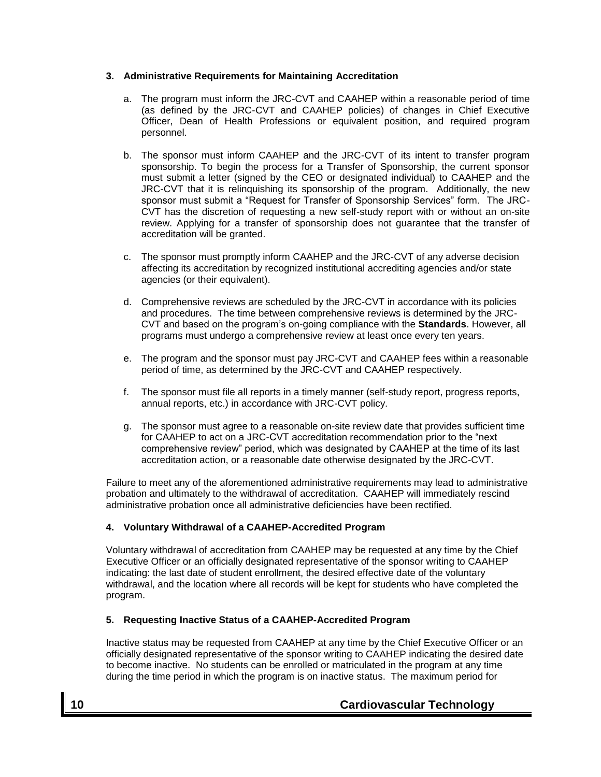### **3. Administrative Requirements for Maintaining Accreditation**

- a. The program must inform the JRC-CVT and CAAHEP within a reasonable period of time (as defined by the JRC-CVT and CAAHEP policies) of changes in Chief Executive Officer, Dean of Health Professions or equivalent position, and required program personnel.
- b. The sponsor must inform CAAHEP and the JRC-CVT of its intent to transfer program sponsorship. To begin the process for a Transfer of Sponsorship, the current sponsor must submit a letter (signed by the CEO or designated individual) to CAAHEP and the JRC-CVT that it is relinquishing its sponsorship of the program. Additionally, the new sponsor must submit a "Request for Transfer of Sponsorship Services" form. The JRC-CVT has the discretion of requesting a new self-study report with or without an on-site review. Applying for a transfer of sponsorship does not guarantee that the transfer of accreditation will be granted.
- c. The sponsor must promptly inform CAAHEP and the JRC-CVT of any adverse decision affecting its accreditation by recognized institutional accrediting agencies and/or state agencies (or their equivalent).
- d. Comprehensive reviews are scheduled by the JRC-CVT in accordance with its policies and procedures. The time between comprehensive reviews is determined by the JRC-CVT and based on the program's on-going compliance with the **Standards**. However, all programs must undergo a comprehensive review at least once every ten years.
- e. The program and the sponsor must pay JRC-CVT and CAAHEP fees within a reasonable period of time, as determined by the JRC-CVT and CAAHEP respectively.
- f. The sponsor must file all reports in a timely manner (self-study report, progress reports, annual reports, etc.) in accordance with JRC-CVT policy.
- g. The sponsor must agree to a reasonable on-site review date that provides sufficient time for CAAHEP to act on a JRC-CVT accreditation recommendation prior to the "next comprehensive review" period, which was designated by CAAHEP at the time of its last accreditation action, or a reasonable date otherwise designated by the JRC-CVT.

Failure to meet any of the aforementioned administrative requirements may lead to administrative probation and ultimately to the withdrawal of accreditation. CAAHEP will immediately rescind administrative probation once all administrative deficiencies have been rectified.

### **4. Voluntary Withdrawal of a CAAHEP-Accredited Program**

Voluntary withdrawal of accreditation from CAAHEP may be requested at any time by the Chief Executive Officer or an officially designated representative of the sponsor writing to CAAHEP indicating: the last date of student enrollment, the desired effective date of the voluntary withdrawal, and the location where all records will be kept for students who have completed the program.

#### **5. Requesting Inactive Status of a CAAHEP-Accredited Program**

Inactive status may be requested from CAAHEP at any time by the Chief Executive Officer or an officially designated representative of the sponsor writing to CAAHEP indicating the desired date to become inactive. No students can be enrolled or matriculated in the program at any time during the time period in which the program is on inactive status. The maximum period for